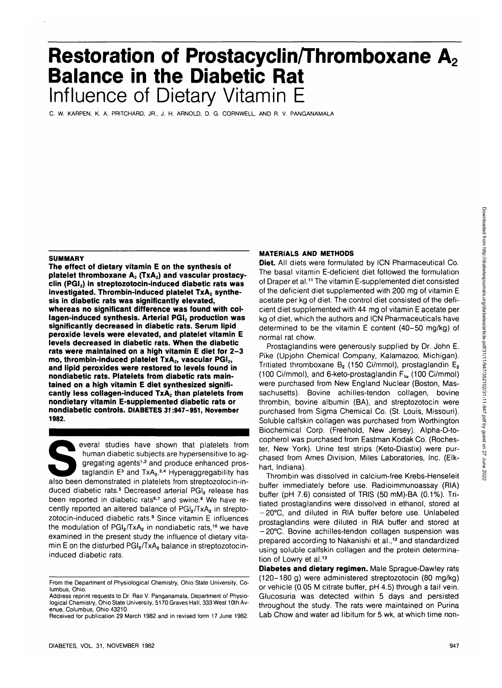# **Restoration of Prostacyclin/Thromboxane A<sub>2</sub> Balance in the Diabetic Rat** Influence of Dietary Vitamin E

C. W. KARPEN, K. A. PRITCHARD, JR., J. H. ARNOLD, D. G. CORNWELL, AND R. V. PANGANAMALA

#### **SUMMARY**

**The effect of dietary vitamin E on the synthesis of** platelet thromboxane A<sub>2</sub> (TxA<sub>2</sub>) and vascular prostacy**clin (PGI2) in streptozotocin-induced diabetic rats was** investigated. Thrombin-induced platelet TxA<sub>2</sub> synthe**sis in diabetic rats was significantly elevated, whereas no significant difference was found with col**lagen-induced synthesis. Arterial PGI<sub>2</sub> production was **significantly decreased in diabetic rats. Serum lipid peroxide levels were elevated, and platelet vitamin E levels decreased in diabetic rats. When the diabetic rats were maintained on a high vitamin E diet for 2-3** mo, thrombin-induced platelet TxA<sub>2</sub>, vascular PGI<sub>2</sub>, **and lipid peroxides were restored to levels found in nondiabetic rats. Platelets from diabetic rats maintained on a high vitamin E diet synthesized signifi**cantly less collagen-induced TxA<sub>2</sub> than platelets from **nondietary vitamin E-supplemented diabetic rats or nondiabetic controls. DIABETES 37:947-951, November 1982.**

everal studies have shown that platelets from<br>human diabetic subjects are hypersensitive to ag-<br>gregating agents<sup>1,2</sup> and produce enhanced pros-<br>taglandin E<sup>3</sup> and TxA<sub>2</sub>.<sup>2,4</sup> Hyperaggregability has<br>also been demonstrated human diabetic subjects are hypersensitive to aggregating agents<sup>1,2</sup> and produce enhanced prostaglandin E<sup>3</sup> and TxA<sub>2</sub>.<sup>2,4</sup> Hyperaggregability has duced diabetic rats.<sup>5</sup> Decreased arterial PGI<sub>2</sub> release has been reported in diabetic rats<sup>6,7</sup> and swine.<sup>8</sup> We have recently reported an altered balance of  $PGI<sub>2</sub>/TxA<sub>2</sub>$  in streptozotocin-induced diabetic rats.<sup>9</sup> Since vitamin E influences the modulation of PGI<sub>2</sub>/TxA<sub>2</sub> in nondiabetic rats,<sup>10</sup> we have examined in the present study the influence of dietary vitamin E on the disturbed  $PGl_2/TxA_2$  balance in streptozotocininduced diabetic rats.

### **MATERIALS AND METHODS**

**Diet.** All diets were formulated by ICN Pharmaceutical Co. The basal vitamin E-deficient diet followed the formulation of Draper et al.<sup>11</sup> The vitamin E-supplemented diet consisted of the deficient diet supplemented with 200 mg of. vitamin E acetate per kg of diet. The control diet consisted of the deficient diet supplemented with 44 mg of vitamin E acetate per kg of diet, which the authors and ICN Pharmaceuticals have determined to be the vitamin E content (40-50 mg/kg) of normal rat chow.

Prostaglandins were generously supplied by Dr. John E. Pike (Upjohn Chemical Company, Kalamazoo, Michigan). Tritiated thromboxane  $B_2$  (150 Ci/mmol), prostaglandin  $E_2$ (100 Ci/mmol), and 6-keto-prostaglandin  $F_{1\alpha}$  (100 Ci/mmol) were purchased from New England Nuclear (Boston, Massachusetts). Bovine achilies-tendon collagen, bovine thrombin, bovine albumin (BA), and streptozotocin were purchased from Sigma Chemical Co. (St. Louis, Missouri). Soluble calfskin collagen was purchased from Worthington Biochemical Corp. (Freehold, New Jersey). Alpha-D-tocopherol was purchased from Eastman Kodak Co. (Rochester, New York). Urine test strips (Keto-Diastix) were purchased from Ames Division, Miles Laboratories, Inc. (Elkhart, Indiana).

Thrombin was dissolved in calcium-free Krebs-Henseleit buffer immediately before use. Radioimmunoassay (RIA) buffer (pH 7.6) consisted of TRIS (50 mM)-BA (0.1%). Tritiated prostaglandins were dissolved in ethanol, stored at -20°C, and diluted in RIA buffer before use. Unlabeled prostaglandins were diluted in RIA buffer and stored at -20°C. Bovine achilles-tendon collagen suspension was prepared according to Nakanishi et al.,<sup>12</sup> and standardized using soluble calfskin collagen and the protein determination of Lowry et al.<sup>13</sup>

**Diabetes and dietary regimen.** Male Sprague-Dawley rats (120-180 g) were administered streptozotocin (80 mg/kg) or vehicle (0.05 M citrate buffer, pH 4.5) through a tail vein. Glucosuria was detected within 5 days and persisted throughout the study. The rats were maintained on Purina Lab Chow and water ad libitum for 5 wk, at which time non-

From the Department of Physiological Chemistry, Ohio State University, Columbus, Ohio.

Address reprint requests to Dr. Rao V. Panganamala, Department of Physiological Chemistry, Ohio State University, 5170 Graves Hall, 333 West 10th Avenue, Columbus, Ohio 43210.

Received for publication 29 March 1982 and in revised form 17 June 1982.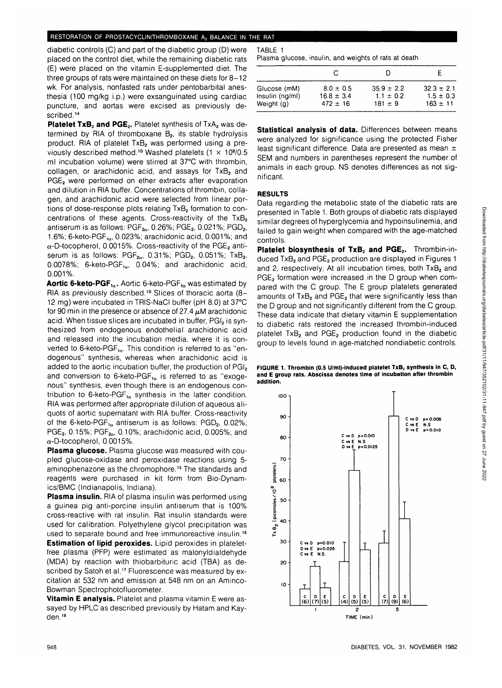#### RESTORATION OF PROSTACYCLIN/THROMBOXANE A<sub>2</sub> BALANCE IN THE RAT

diabetic controls (C) and part of the diabetic group (D) were placed on the control diet, while the remaining diabetic rats (E) were placed on the vitamin E-supplemented diet. The three groups of rats were maintained on these diets for 8-12 wk. For analysis, nonfasted rats under pentobarbital anesthesia (100 mg/kg i.p.) were exsanguinated using cardiac puncture, and aortas were excised as previously described.<sup>14</sup>

Platelet TxB<sub>2</sub> and PGE<sub>2</sub>. Platelet synthesis of TxA<sub>2</sub> was determined by RIA of thromboxane  $B<sub>2</sub>$ , its stable hydrolysis product. RIA of platelet TxB<sub>2</sub> was performed using a previously described method.<sup>10</sup> Washed platelets  $(1 \times 10<sup>8</sup>/0.5)$ ml incubation volume) were stirred at 37°C with thrombin, collagen, or arachidonic acid, and assays for  $TxB<sub>2</sub>$  and PGE<sub>2</sub> were performed on ether extracts after evaporation and dilution in RIA buffer. Concentrations of thrombin, collagen, and arachidonic acid were selected from linear portions of dose-response plots relating  $TxB<sub>2</sub>$  formation to concentrations of these agents. Cross-reactivity of the  $TxB<sub>2</sub>$ antiserum is as follows:  $PGF_{2\alpha}$ , 0.26%;  $PGE_2$ , 0.021%;  $PGD_2$ , 1.6%; 6-keto-PGF $_{1\alpha}$ , 0.023%; arachidonic acid, 0.001%; and  $\alpha$ -D-tocopherol, 0.0015%. Cross-reactivity of the PGE<sub>2</sub> antiserum is as follows:  $PGF_{2\alpha}$ , 0.31%;  $PGD_2$ , 0.051%;  $TxB_2$ , 0.0078%; 6-keto-PGF $_{1\alpha}$ , 0.04%; and arachidonic acid, 0.001%.

**Aortic 6-keto-PGF<sub>10</sub>.** Aortic 6-keto-PGF<sub>10</sub> was estimated by RIA as previously described.<sup>10</sup> Slices of thoracic aorta (8-12 mg) were incubated in TRIS-NaCI buffer (pH 8.0) at 37°C for 90 min in the presence or absence of 27.4  $\mu$ M arachidonic acid. When tissue slices are incubated in buffer, PGI<sub>2</sub> is synthesized from endogenous endothelial arachidonic acid and released into the incubation media, where it is converted to 6-keto-PGF $_{1a}$ . This condition is referred to as "endogenous" synthesis, whereas when arachidonic acid is added to the aortic incubation buffer, the production of PGI<sub>2</sub> and conversion to 6-keto-PGF $_{1\alpha}$  is referred to as "exogenous" synthesis, even though there is an endogenous contribution to 6-keto-PGF $_{10}$  synthesis in the latter condition. RIA was performed after appropriate dilution of aqueous aliquots of aortic supernatant with RIA buffer. Cross-reactivity of the 6-keto-PGF $_{1\alpha}$  antiserum is as follows: PGD<sub>2</sub>, 0.02%; PGE<sub>2</sub>, 0.15%; PGF<sub>2 $\alpha$ </sub>, 0.10%; arachidonic acid, 0.005%; and  $\alpha$ -D-tocopherol, 0.0015%.

**Plasma glucose.** Plasma glucose was measured with coupled glucose-oxidase and peroxidase reactions using 5 aminophenazone as the chromophore.<sup>15</sup> The standards and reagents were purchased in kit form from Bio-Dynamics/BMC (Indianapolis, Indiana).

**Plasma insulin.** RIA of plasma insulin was performed using a guinea pig anti-porcine insulin antiserum that is 100% cross-reactive with rat insulin. Rat insulin standards were used for calibration. Polyethylene glycol precipitation was used to separate bound and free immunoreactive insulin.<sup>16</sup> **Estimation of lipid peroxides.** Lipid peroxides in plateletfree plasma (PFP) were estimated as malonyldialdehyde (MDA) by reaction with thiobarbituric acid (TBA) as described by Satoh et al.<sup>17</sup> Fluorescence was measured by excitation at 532 nm and emission at 548 nm on an Aminco-Bowman Spectrophotofluorometer.

**Vitamin E analysis.** Platelet and plasma vitamin E were assayed by HPLC as described previously by Hatam and Kayden.<sup>18</sup>

TABLE 1

Plasma glucose, insulin, and weights of rats at death

|                   |                |                | F              |
|-------------------|----------------|----------------|----------------|
| Glucose (mM)      | $8.0 \pm 0.5$  | $35.9 \pm 2.2$ | $32.3 \pm 2.1$ |
| $insulin$ (ng/ml) | $16.8 \pm 3.4$ | $1.1 \pm 0.2$  | $1.5 \pm 0.3$  |
| Weight (g)        | $472 \pm 16$   | $181 \pm 9$    | $163 \pm 11$   |

**Statistical analysis of data.** Differences between means were analyzed for significance using the protected Fisher least significant difference. Data are presented as mean ± SEM and numbers in parentheses represent the number of animals in each group. NS denotes differences as not significant.

## **RESULTS**

Data regarding the metabolic state of the diabetic rats are presented in Table 1. Both groups of diabetic rats displayed similar degrees of hyperglycemia and hypoinsulinemia, and failed to gain weight when compared with the age-matched controls.

Platelet biosynthesis of TxB<sub>2</sub> and PGE<sub>2</sub>. Thrombin-induced TxB<sub>2</sub> and PGE<sub>2</sub> production are displayed in Figures 1 and 2, respectively. At all incubation times, both  $TxB<sub>2</sub>$  and PGE<sub>2</sub> formation were increased in the D group when compared with the C group. The E group platelets generated amounts of  $TxB<sub>2</sub>$  and  $PGE<sub>2</sub>$  that were significantly less than the D group and not significantly different from the C group. These data indicate that dietary vitamin E supplementation to diabetic rats restored the increased thrombin-induced platelet  $TxB<sub>2</sub>$  and  $PGE<sub>2</sub>$  production found in the diabetic group to levels found in age-matched nondiabetic controls.



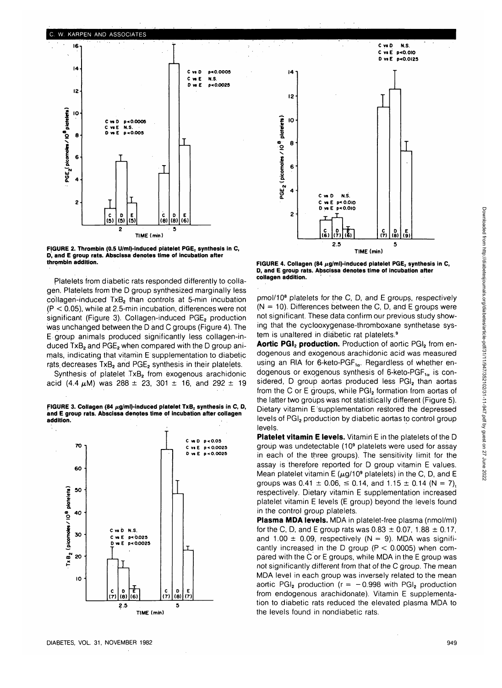



**FIGURE 2. Thrombin (0.5 U/ml)-induced platelet PGE, synthesis in C, D, and E group rats. Abscissa denotes time of incubation after thrombin addition.**

Platelets from diabetic rats responded differently to collagen. Platelets from the D group synthesized marginally less collagen-induced TxB<sub>2</sub> than controls at 5-min incubation (P < 0.05), while at 2.5-min incubation, differences were not significant (Figure 3). Collagen-induced PGE<sub>2</sub> production was unchanged between the D and C groups (Figure 4). The E group animals produced significantly less collagen-induced  $TxB<sub>2</sub>$  and  $PGE<sub>2</sub>$  when compared with the D group animals, indicating that vitamin E supplementation to diabetic rats decreases  $TxB<sub>2</sub>$  and  $PGE<sub>2</sub>$  synthesis in their platelets.

Synthesis of platelet TxB<sub>2</sub> from exogenous arachidonic acid (4.4  $\mu$ M) was 288  $\pm$  23, 301  $\pm$  16, and 292  $\pm$  19

FIGURE 3. Collagen (84  $\mu$ g/ml)-induced platelet TxB<sub>2</sub> synthesis in C, D, **and E group rats. Abscissa denotes time of incubation after collagen addition.**





FIGURE 4. Collagen (84 µg/ml)-induced platelet PGE<sub>2</sub> synthesis in C, **D, and E group rats. Abscissa denotes time of incubation after collagen addition.**

pmol/10<sup>8</sup> platelets for the C, D, and E groups, respectively  $(N = 10)$ . Differences between the C, D, and E groups were not significant. These data confirm our previous study showing that the cyclooxygenase-thromboxane synthetase system is unaltered in diabetic rat platelets.<sup>9</sup>

Aortic PGI<sub>2</sub> production. Production of aortic PGI<sub>2</sub> from endogenous and exogenous arachidonic acid was measured using an RIA for 6-keto-PGF $_{1\alpha}$ . Regardless of whether endogenous or exogenous synthesis of 6-keto-PGF $_{1\alpha}$  is considered, D group aortas produced less PGI<sub>2</sub> than aortas from the C or E groups, while PGI<sub>2</sub> formation from aortas of the latter two groups was not statistically different (Figure 5). Dietary vitamin E supplementation restored the depressed levels of PGI<sub>2</sub> production by diabetic aortas to control group levels.

**Platelet vitamin E levels.** Vitamin E in the platelets of the D group was undetectable (10<sup>9</sup> platelets were used for assay in each of the three groups). The sensitivity limit for the assay is therefore reported for D group vitamin E values. Mean platelet vitamin E ( $\mu$ g/10<sup>9</sup> platelets) in the C, D, and E groups was  $0.41 \pm 0.06$ ,  $\leq 0.14$ , and  $1.15 \pm 0.14$  (N = 7), respectively. Dietary vitamin E supplementation increased platelet vitamin E levels (E group) beyond the levels found in the control group platelets.

**Plasma MDA levels.** MDA in platelet-free plasma (nmol/ml) for the C, D, and E group rats was  $0.83 \pm 0.07$ , 1.88  $\pm$  0.17, and 1.00  $\pm$  0.09, respectively (N = 9). MDA was significantly increased in the D group ( $P < 0.0005$ ) when compared with the C or E groups, while MDA in the E group was not significantly different from that of the C group. The mean MDA level in each group was inversely related to the mean aortic PGI<sub>2</sub> production ( $r = -0.998$  with PGI<sub>2</sub> production from endogenous arachidonate). Vitamin E supplementation to diabetic rats reduced the elevated plasma MDA to the levels found in nondiabetic rats.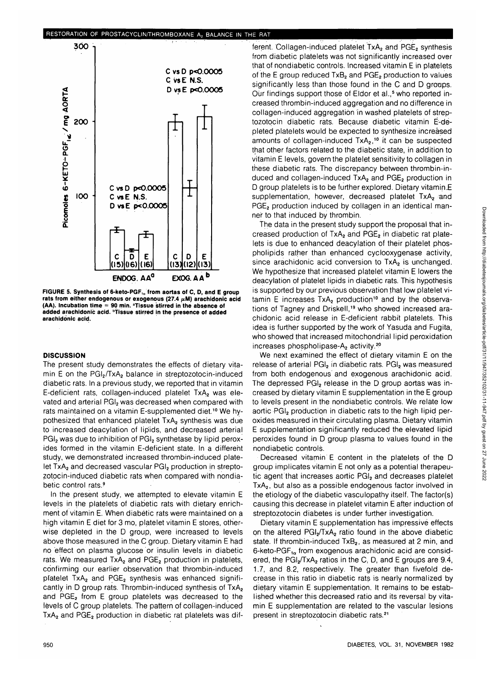

FIGURE 5. Synthesis of 6-keto-PGF<sub>10</sub> from aortas of C, D, and E group rats from either endogenous or exogenous (27.4  $\mu$ M) arachidonic acid (AA). Incubation time = 90 min. <sup>a</sup>Tissue stirred in the absence of **added arachidonic acid, "tissue stirred in the presence of added arachidonic acid.**

#### **DISCUSSION**

The present study demonstrates the effects of dietary vitamin E on the PGI<sub>2</sub>/TxA<sub>2</sub> balance in streptozotocin-induced diabetic rats. In a previous study, we reported that in vitamin E-deficient rats, collagen-induced platelet TxA<sub>2</sub> was elevated and arterial PGI<sub>2</sub> was decreased when compared with rats maintained on a vitamin E-supplemented diet.<sup>10</sup> We hypothesized that enhanced platelet TxA<sub>2</sub> synthesis was due to increased deacylation of lipids, and decreased arterial PGI<sub>2</sub> was due to inhibition of PGI<sub>2</sub> synthetase by lipid peroxides formed in the vitamin E-deficient state. In a different study, we demonstrated increased thrombin-induced platelet TxA<sub>2</sub> and decreased vascular PGI<sub>2</sub> production in streptozotocin-induced diabetic rats when compared with nondiabetic control rats.<sup>9</sup>

In the present study, we attempted to elevate vitamin E levels in the platelets of diabetic rats with dietary enrichment of vitamin E. When diabetic rats were maintained on a high vitamin E diet for 3 mo, platelet vitamin E stores, otherwise depleted in the D group, were increased to levels above those measured in the C group. Dietary vitamin E had no effect on plasma glucose or insulin levels in diabetic rats. We measured TxA<sub>2</sub> and PGE<sub>2</sub> production in platelets, confirming our earlier observation that thrombin-induced platelet TxA<sub>2</sub> and PGE<sub>2</sub> synthesis was enhanced significantly in D group rats. Thrombin-induced synthesis of TxA<sub>2</sub> and  $PGE<sub>2</sub>$  from E group platelets was decreased to the levels of C group platelets. The pattern of collagen-induced  $TxA<sub>2</sub>$  and PGE<sub>2</sub> production in diabetic rat platelets was dif-

ferent. Collagen-induced platelet  $TxA<sub>2</sub>$  and  $PGE<sub>2</sub>$  synthesis from diabetic platelets was not significantly increased over that of nondiabetic controls. Increased vitamin E in platelets of the E group reduced  $TxB_2$  and  $PGE_2$  production to values significantly less than those found in the C and D groups. Our findings support those of Eldor et al.,<sup>5</sup> who reported increased thrombin-induced aggregation and no difference in collagen-induced aggregation in washed platelets of streptozotocin diabetic rats. Because diabetic vitamin E-depleted platelets would be expected to synthesize increased amounts of collagen-induced TxA<sub>2</sub>,<sup>10</sup> it can be suspected that other factors related to the diabetic state, in addition to vitamin E levels, govern the platelet sensitivity to collagen in these diabetic rats. The discrepancy between thrombin-induced and collagen-induced  $TxA<sub>2</sub>$  and  $PGE<sub>2</sub>$  production in D group platelets is to be further explored. Dietary vitamin E supplementation, however, decreased platelet  $TxA<sub>2</sub>$  and PGE<sub>2</sub> production induced by collagen in an identical manner to that induced by thrombin.

The data in the present study support the proposal that increased production of TxA<sub>2</sub> and PGE<sub>2</sub> in diabetic rat platelets is due to enhanced deacylation of their platelet phospholipids rather than enhanced cyclooxygenase activity, since arachidonic acid conversion to TxA<sub>2</sub> is unchanged. We hypothesize that increased platelet vitamin E lowers the deacylation of platelet lipids in diabetic rats. This hypothesis is supported by our previous observation that low platelet vi $t$ amin E increases  $TxA<sub>2</sub>$  production<sup>10</sup> and by the observations of Tagney and Driskell,<sup>19</sup> who showed increased arachidonic acid release in E-deficient rabbit platelets. This idea is further supported by the work of Yasuda and Fugita, who showed that increased mitochondrial lipid peroxidation increases phospholipase- $A<sub>2</sub>$  activity.<sup>20</sup>

We next examined the effect of dietary vitamin E on the release of arterial PGI<sub>2</sub> in diabetic rats. PGI<sub>2</sub> was measured from both endogenous and exogenous arachidonic acid. The depressed PGI<sub>2</sub> release in the D group aortas was increased by dietary vitamin E supplementation in the E group to levels present in the nondiabetic controls. We relate low aortic PGI<sub>2</sub> production in diabetic rats to the high lipid peroxides measured in their circulating plasma. Dietary vitamin E supplementation significantly reduced the elevated lipid peroxides found in D group plasma to values found in the nondiabetic controls.

Decreased vitamin E content in the platelets of the D group implicates vitamin E not only as a potential therapeutic agent that increases aortic PGI<sub>2</sub> and decreases platelet  $TxA<sub>2</sub>$ , but also as a possible endogenous factor involved in the etiology of the diabetic vasculopathy itself. The factor(s) causing this decrease in platelet vitamin E after induction of streptozotocin diabetes is under further investigation.

Dietary vitamin E supplementation has impressive effects on the altered  $PGI<sub>2</sub>/TxA<sub>2</sub>$  ratio found in the above diabetic state. If thrombin-induced TxB<sub>2</sub>, as measured at 2 min, and 6-keto-PGF $_{1\alpha}$  from exogenous arachidonic acid are considered, the  $PGl<sub>2</sub>/TxA<sub>2</sub>$  ratios in the C, D, and E groups are 9.4, 1.7, and 8.2, respectively. The greater than fivefold decrease in this ratio in diabetic rats is nearly normalized by dietary vitamin E supplementation. It remains to be established whether this decreased ratio and its reversal by vitamin E supplementation are related to the vascular lesions present in streptozotocin diabetic rats.21

 $\overline{ }$